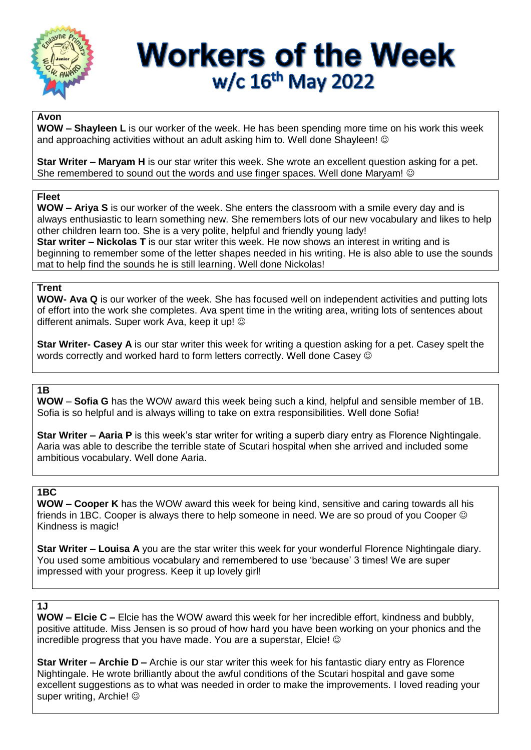

# **Workers of the Week** w/c 16th May 2022

#### **Avon**

**WOW – Shayleen L** is our worker of the week. He has been spending more time on his work this week and approaching activities without an adult asking him to. Well done Shayleen! ©

**Star Writer – Maryam H** is our star writer this week. She wrote an excellent question asking for a pet. She remembered to sound out the words and use finger spaces. Well done Maryam!  $\odot$ 

#### **Fleet**

**WOW – Ariya S** is our worker of the week. She enters the classroom with a smile every day and is always enthusiastic to learn something new. She remembers lots of our new vocabulary and likes to help other children learn too. She is a very polite, helpful and friendly young lady! **Star writer – Nickolas T** is our star writer this week. He now shows an interest in writing and is beginning to remember some of the letter shapes needed in his writing. He is also able to use the sounds mat to help find the sounds he is still learning. Well done Nickolas!

## **Trent**

**WOW- Ava Q** is our worker of the week. She has focused well on independent activities and putting lots of effort into the work she completes. Ava spent time in the writing area, writing lots of sentences about different animals. Super work Ava, keep it up!  $\odot$ 

**Star Writer- Casey A** is our star writer this week for writing a question asking for a pet. Casey spelt the words correctly and worked hard to form letters correctly. Well done Casey  $\odot$ 

## **1B**

**WOW** – **Sofia G** has the WOW award this week being such a kind, helpful and sensible member of 1B. Sofia is so helpful and is always willing to take on extra responsibilities. Well done Sofia!

**Star Writer – Aaria P** is this week's star writer for writing a superb diary entry as Florence Nightingale. Aaria was able to describe the terrible state of Scutari hospital when she arrived and included some ambitious vocabulary. Well done Aaria.

## **1BC**

**WOW – Cooper K** has the WOW award this week for being kind, sensitive and caring towards all his friends in 1BC. Cooper is always there to help someone in need. We are so proud of you Cooper  $\odot$ Kindness is magic!

**Star Writer – Louisa A** you are the star writer this week for your wonderful Florence Nightingale diary. You used some ambitious vocabulary and remembered to use 'because' 3 times! We are super impressed with your progress. Keep it up lovely girl!

#### **1J**

**WOW – Elcie C –** Elcie has the WOW award this week for her incredible effort, kindness and bubbly, positive attitude. Miss Jensen is so proud of how hard you have been working on your phonics and the incredible progress that you have made. You are a superstar, Elcie!

**Star Writer – Archie D –** Archie is our star writer this week for his fantastic diary entry as Florence Nightingale. He wrote brilliantly about the awful conditions of the Scutari hospital and gave some excellent suggestions as to what was needed in order to make the improvements. I loved reading your super writing, Archie! ©